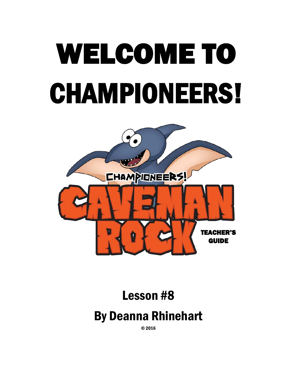# WELCOME TO CHAMPIONEERS!



# Lesson #8 By Deanna Rhinehart

© 2016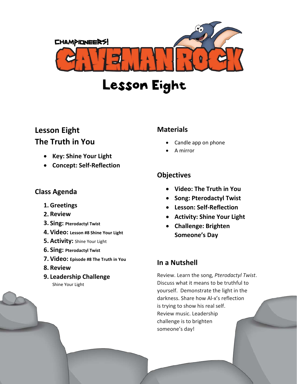

### Lesson Eight

#### **Lesson Eight The Truth in You**

- **Key: Shine Your Light**
- **Concept: Self-Reflection**

#### **Class Agenda**

- **1. Greetings**
- **2. Review**
- **3. Sing: Pterodactyl Twist**
- **4. Video: Lesson #8 Shine Your Light**
- **5. Activity:** Shine Your Light
- **6. Sing: Pterodactyl Twist**
- **7. Video: Episode #8 The Truth in You**
- **8. Review**
- **9. Leadership Challenge** Shine Your Light

#### **Materials**

- Candle app on phone
- A mirror

#### **Objectives**

- **Video: The Truth in You**
- **Song: Pterodactyl Twist**
- **Lesson: Self-Reflection**
- **Activity: Shine Your Light**
- **Challenge: Brighten Someone's Day**

#### **In a Nutshell**

Review. Learn the song, *Pterodactyl Twist*. Discuss what it means to be truthful to yourself. Demonstrate the light in the darkness. Share how Al-x's reflection is trying to show his real self. Review music. Leadership challenge is to brighten someone's day!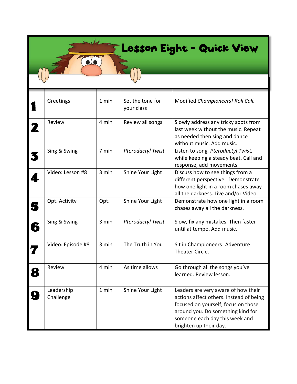## Lesson Eight - Quick View

|   | Greetings               | 1 min | Set the tone for<br>your class | Modified Championeers! Roll Call.                                                                                                                                                                                      |
|---|-------------------------|-------|--------------------------------|------------------------------------------------------------------------------------------------------------------------------------------------------------------------------------------------------------------------|
|   | Review                  | 4 min | Review all songs               | Slowly address any tricky spots from<br>last week without the music. Repeat<br>as needed then sing and dance<br>without music. Add music.                                                                              |
|   | Sing & Swing            | 7 min | <b>Pterodactyl Twist</b>       | Listen to song, Pterodactyl Twist,<br>while keeping a steady beat. Call and<br>response, add movements.                                                                                                                |
|   | Video: Lesson #8        | 3 min | Shine Your Light               | Discuss how to see things from a<br>different perspective. Demonstrate<br>how one light in a room chases away<br>all the darkness. Live and/or Video.                                                                  |
| 5 | Opt. Activity           | Opt.  | Shine Your Light               | Demonstrate how one light in a room<br>chases away all the darkness.                                                                                                                                                   |
| 6 | Sing & Swing            | 3 min | <b>Pterodactyl Twist</b>       | Slow, fix any mistakes. Then faster<br>until at tempo. Add music.                                                                                                                                                      |
|   | Video: Episode #8       | 3 min | The Truth in You               | Sit in Championeers! Adventure<br>Theater Circle.                                                                                                                                                                      |
| 8 | Review                  | 4 min | As time allows                 | Go through all the songs you've<br>learned. Review lesson.                                                                                                                                                             |
| Ģ | Leadership<br>Challenge | 1 min | Shine Your Light               | Leaders are very aware of how their<br>actions affect others. Instead of being<br>focused on yourself, focus on those<br>around you. Do something kind for<br>someone each day this week and<br>brighten up their day. |

 $\sqrt{ }$ 

20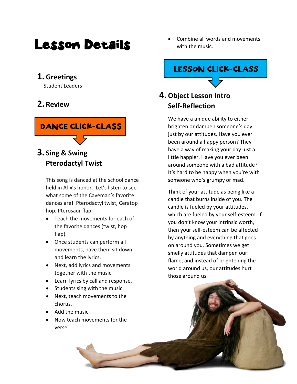## Lesson Details

#### **1.Greetings**

Student Leaders

#### **2. Review**



#### **3. Sing & Swing Pterodactyl Twist**

This song is danced at the school dance held in Al-x's honor. Let's listen to see what some of the Caveman's favorite dances are! Pterodactyl twist, Ceratop hop, Pterosaur flap.

- Teach the movements for each of the favorite dances (twist, hop flap).
- Once students can perform all movements, have them sit down and learn the lyrics.
- Next, add lyrics and movements together with the music.
- Learn lyrics by call and response.
- Students sing with the music.
- Next, teach movements to the chorus.
- Add the music.
- Now teach movements for the verse.

• Combine all words and movements with the music.

#### LESSON CLICK-CLASS

#### **4.Object Lesson Intro Self-Reflection**

We have a unique ability to either brighten or dampen someone's day just by our attitudes. Have you ever been around a happy person? They have a way of making your day just a little happier. Have you ever been around someone with a bad attitude? It's hard to be happy when you're with someone who's grumpy or mad.

Think of your attitude as being like a candle that burns inside of you. The candle is fueled by your attitudes, which are fueled by your self-esteem. If you don't know your intrinsic worth, then your self-esteem can be affected by anything and everything that goes on around you. Sometimes we get smelly attitudes that dampen our flame, and instead of brightening the world around us, our attitudes hurt those around us.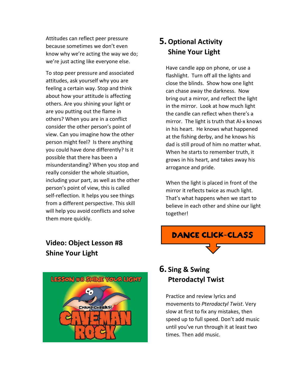Attitudes can reflect peer pressure because sometimes we don't even know why we're acting the way we do; we're just acting like everyone else.

To stop peer pressure and associated attitudes, ask yourself why you are feeling a certain way. Stop and think about how your attitude is affecting others. Are you shining your light or are you putting out the flame in others? When you are in a conflict consider the other person's point of view. Can you imagine how the other person might feel? Is there anything you could have done differently? Is it possible that there has been a misunderstanding? When you stop and really consider the whole situation, including your part, as well as the other person's point of view, this is called self-reflection. It helps you see things from a different perspective. This skill will help you avoid conflicts and solve them more quickly.

#### **Video: Object Lesson #8 Shine Your Light**



#### **5.Optional Activity Shine Your Light**

Have candle app on phone, or use a flashlight. Turn off all the lights and close the blinds. Show how one light can chase away the darkness. Now bring out a mirror, and reflect the light in the mirror. Look at how much light the candle can reflect when there's a mirror. The light is truth that Al-x knows in his heart. He knows what happened at the fishing derby, and he knows his dad is still proud of him no matter what. When he starts to remember truth, it grows in his heart, and takes away his arrogance and pride.

When the light is placed in front of the mirror it reflects twice as much light. That's what happens when we start to believe in each other and shine our light together!



#### **6. Sing & Swing Pterodactyl Twist**

Practice and review lyrics and movements to *Pterodactyl Twist*. Very slow at first to fix any mistakes, then speed up to full speed. Don't add music until you've run through it at least two times. Then add music.